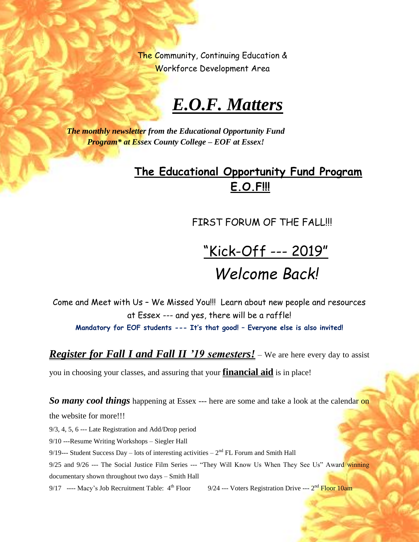The Community, Continuing Education & Workforce Development Area

## *E.O.F. Matters*

*The monthly newsletter from the Educational Opportunity Fund Program\* at Essex County College – EOF at Essex!*

## **The Educational Opportunity Fund Program E.O.F!!!**

FIRST FORUM OF THE FALL!!!

"Kick-Off --- 2019" *Welcome Back!*

Come and Meet with Us – We Missed You!!! Learn about new people and resources at Essex --- and yes, there will be a raffle! **Mandatory for EOF students --- It's that good! – Everyone else is also invited!**

*Register for Fall I and Fall II '19 semesters!* – We are here every day to assist

you in choosing your classes, and assuring that your **financial aid** is in place!

**So many cool things** happening at Essex --- here are some and take a look at the calendar on

the website for more!!!

9/3, 4, 5, 6 --- Late Registration and Add/Drop period

9/10 ---Resume Writing Workshops – Siegler Hall

9/19--- Student Success Day – lots of interesting activities  $-2<sup>nd</sup> FL$  Forum and Smith Hall

9/25 and 9/26 --- The Social Justice Film Series --- "They Will Know Us When They See Us" Award winning documentary shown throughout two days – Smith Hall

9/17 ---- Macy's Job Recruitment Table: 4<sup>th</sup> Floor 9/24 --- Voters Registration Drive --- 2<sup>nd</sup> Floor 10am